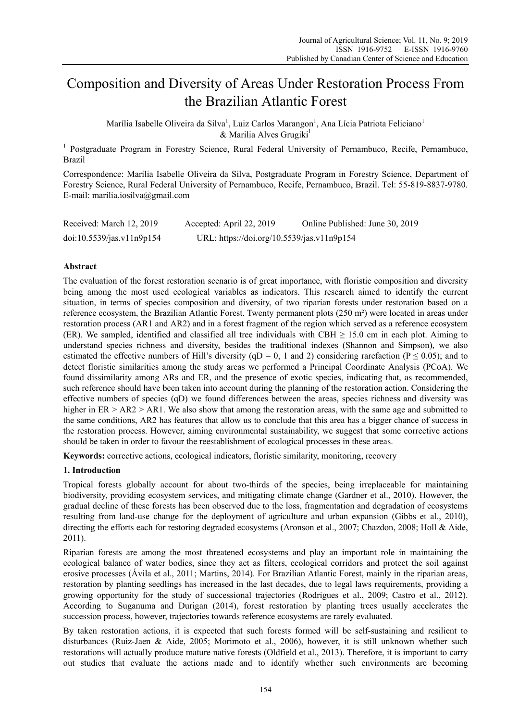# Composition and Diversity of Areas Under Restoration Process From the Brazilian Atlantic Forest

Marília Isabelle Oliveira da Silva<sup>1</sup>, Luiz Carlos Marangon<sup>1</sup>, Ana Lícia Patriota Feliciano<sup>1</sup>  $&$  Marilia Alves Grugiki<sup>1</sup>

<sup>1</sup> Postgraduate Program in Forestry Science, Rural Federal University of Pernambuco, Recife, Pernambuco, Brazil

Correspondence: Marília Isabelle Oliveira da Silva, Postgraduate Program in Forestry Science, Department of Forestry Science, Rural Federal University of Pernambuco, Recife, Pernambuco, Brazil. Tel: 55-819-8837-9780. E-mail: marilia.iosilva@gmail.com

| Received: March 12, 2019  | Accepted: April 22, 2019                   | Online Published: June 30, 2019 |
|---------------------------|--------------------------------------------|---------------------------------|
| doi:10.5539/jas.v11n9p154 | URL: https://doi.org/10.5539/jas.v11n9p154 |                                 |

## **Abstract**

The evaluation of the forest restoration scenario is of great importance, with floristic composition and diversity being among the most used ecological variables as indicators. This research aimed to identify the current situation, in terms of species composition and diversity, of two riparian forests under restoration based on a reference ecosystem, the Brazilian Atlantic Forest. Twenty permanent plots (250 m²) were located in areas under restoration process (AR1 and AR2) and in a forest fragment of the region which served as a reference ecosystem (ER). We sampled, identified and classified all tree individuals with CBH  $\geq$  15.0 cm in each plot. Aiming to understand species richness and diversity, besides the traditional indexes (Shannon and Simpson), we also estimated the effective numbers of Hill's diversity (qD = 0, 1 and 2) considering rarefaction ( $P \le 0.05$ ); and to detect floristic similarities among the study areas we performed a Principal Coordinate Analysis (PCoA). We found dissimilarity among ARs and ER, and the presence of exotic species, indicating that, as recommended, such reference should have been taken into account during the planning of the restoration action. Considering the effective numbers of species (qD) we found differences between the areas, species richness and diversity was higher in ER > AR2 > AR1. We also show that among the restoration areas, with the same age and submitted to the same conditions, AR2 has features that allow us to conclude that this area has a bigger chance of success in the restoration process. However, aiming environmental sustainability, we suggest that some corrective actions should be taken in order to favour the reestablishment of ecological processes in these areas.

**Keywords:** corrective actions, ecological indicators, floristic similarity, monitoring, recovery

## **1. Introduction**

Tropical forests globally account for about two-thirds of the species, being irreplaceable for maintaining biodiversity, providing ecosystem services, and mitigating climate change (Gardner et al., 2010). However, the gradual decline of these forests has been observed due to the loss, fragmentation and degradation of ecosystems resulting from land-use change for the deployment of agriculture and urban expansion (Gibbs et al., 2010), directing the efforts each for restoring degraded ecosystems (Aronson et al., 2007; Chazdon, 2008; Holl & Aide, 2011).

Riparian forests are among the most threatened ecosystems and play an important role in maintaining the ecological balance of water bodies, since they act as filters, ecological corridors and protect the soil against erosive processes (Ávila et al., 2011; Martins, 2014). For Brazilian Atlantic Forest, mainly in the riparian areas, restoration by planting seedlings has increased in the last decades, due to legal laws requirements, providing a growing opportunity for the study of successional trajectories (Rodrigues et al., 2009; Castro et al., 2012). According to Suganuma and Durigan (2014), forest restoration by planting trees usually accelerates the succession process, however, trajectories towards reference ecosystems are rarely evaluated.

By taken restoration actions, it is expected that such forests formed will be self-sustaining and resilient to disturbances (Ruiz-Jaen & Aide, 2005; Morimoto et al., 2006), however, it is still unknown whether such restorations will actually produce mature native forests (Oldfield et al., 2013). Therefore, it is important to carry out studies that evaluate the actions made and to identify whether such environments are becoming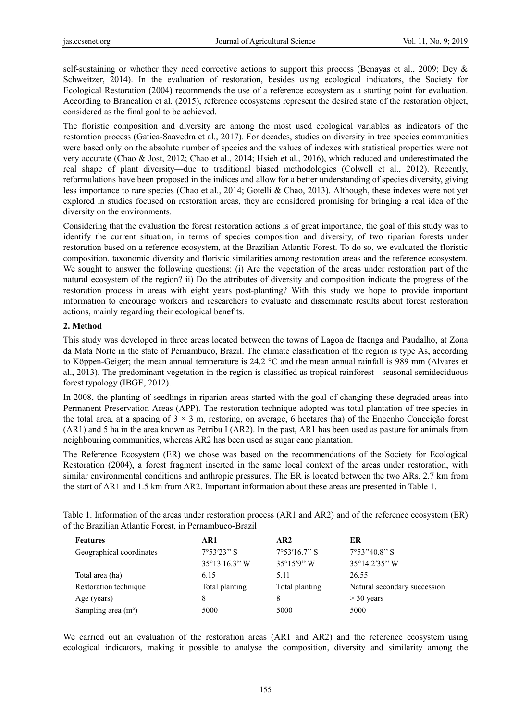self-sustaining or whether they need corrective actions to support this process (Benayas et al., 2009; Dey & Schweitzer, 2014). In the evaluation of restoration, besides using ecological indicators, the Society for Ecological Restoration (2004) recommends the use of a reference ecosystem as a starting point for evaluation. According to Brancalion et al. (2015), reference ecosystems represent the desired state of the restoration object, considered as the final goal to be achieved.

The floristic composition and diversity are among the most used ecological variables as indicators of the restoration process (Gatica-Saavedra et al., 2017). For decades, studies on diversity in tree species communities were based only on the absolute number of species and the values of indexes with statistical properties were not very accurate (Chao & Jost, 2012; Chao et al., 2014; Hsieh et al., 2016), which reduced and underestimated the real shape of plant diversity—due to traditional biased methodologies (Colwell et al., 2012). Recently, reformulations have been proposed in the indices and allow for a better understanding of species diversity, giving less importance to rare species (Chao et al., 2014; Gotelli & Chao, 2013). Although, these indexes were not yet explored in studies focused on restoration areas, they are considered promising for bringing a real idea of the diversity on the environments.

Considering that the evaluation the forest restoration actions is of great importance, the goal of this study was to identify the current situation, in terms of species composition and diversity, of two riparian forests under restoration based on a reference ecosystem, at the Brazilian Atlantic Forest. To do so, we evaluated the floristic composition, taxonomic diversity and floristic similarities among restoration areas and the reference ecosystem. We sought to answer the following questions: (i) Are the vegetation of the areas under restoration part of the natural ecosystem of the region? ii) Do the attributes of diversity and composition indicate the progress of the restoration process in areas with eight years post-planting? With this study we hope to provide important information to encourage workers and researchers to evaluate and disseminate results about forest restoration actions, mainly regarding their ecological benefits.

## **2. Method**

This study was developed in three areas located between the towns of Lagoa de Itaenga and Paudalho, at Zona da Mata Norte in the state of Pernambuco, Brazil. The climate classification of the region is type As, according to Köppen-Geiger; the mean annual temperature is 24.2 °C and the mean annual rainfall is 989 mm (Alvares et al., 2013). The predominant vegetation in the region is classified as tropical rainforest - seasonal semideciduous forest typology (IBGE, 2012).

In 2008, the planting of seedlings in riparian areas started with the goal of changing these degraded areas into Permanent Preservation Areas (APP). The restoration technique adopted was total plantation of tree species in the total area, at a spacing of  $3 \times 3$  m, restoring, on average, 6 hectares (ha) of the Engenho Conceição forest (AR1) and 5 ha in the area known as Petribu I (AR2). In the past, AR1 has been used as pasture for animals from neighbouring communities, whereas AR2 has been used as sugar cane plantation.

The Reference Ecosystem (ER) we chose was based on the recommendations of the Society for Ecological Restoration (2004), a forest fragment inserted in the same local context of the areas under restoration, with similar environmental conditions and anthropic pressures. The ER is located between the two ARs, 2.7 km from the start of AR1 and 1.5 km from AR2. Important information about these areas are presented in Table 1.

| Table 1. Information of the areas under restoration process (AR1 and AR2) and of the reference ecosystem (ER) |  |  |
|---------------------------------------------------------------------------------------------------------------|--|--|
| of the Brazilian Atlantic Forest, in Pernambuco-Brazil                                                        |  |  |

| <b>Features</b>          | AR1                 | AR <sub>2</sub>       | ER                           |
|--------------------------|---------------------|-----------------------|------------------------------|
| Geographical coordinates | $7^{\circ}53'23"$ S | $7^{\circ}53'16.7"$ S | $7^{\circ}53''40.8''$ S      |
|                          | 35°13'16.3" W       | $35^{\circ}15'9''$ W  | $35^{\circ}14.2'35''$ W      |
| Total area (ha)          | 6.15                | 5.11                  | 26.55                        |
| Restoration technique    | Total planting      | Total planting        | Natural secondary succession |
| Age (years)              |                     | 8                     | $>$ 30 years                 |
| Sampling area $(m2)$     | 5000                | 5000                  | 5000                         |

We carried out an evaluation of the restoration areas (AR1 and AR2) and the reference ecosystem using ecological indicators, making it possible to analyse the composition, diversity and similarity among the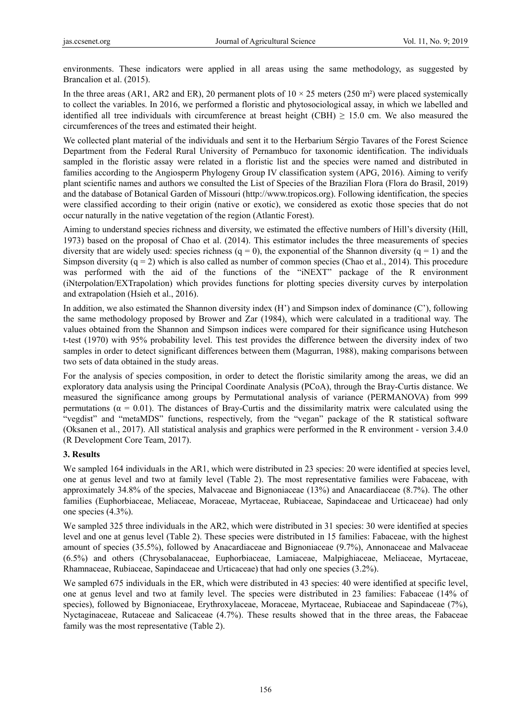environments. These indicators were applied in all areas using the same methodology, as suggested by Brancalion et al. (2015).

In the three areas (AR1, AR2 and ER), 20 permanent plots of  $10 \times 25$  meters (250 m<sup>2</sup>) were placed systemically to collect the variables. In 2016, we performed a floristic and phytosociological assay, in which we labelled and identified all tree individuals with circumference at breast height (CBH)  $\geq$  15.0 cm. We also measured the circumferences of the trees and estimated their height.

We collected plant material of the individuals and sent it to the Herbarium Sérgio Tavares of the Forest Science Department from the Federal Rural University of Pernambuco for taxonomic identification. The individuals sampled in the floristic assay were related in a floristic list and the species were named and distributed in families according to the Angiosperm Phylogeny Group IV classification system (APG, 2016). Aiming to verify plant scientific names and authors we consulted the List of Species of the Brazilian Flora (Flora do Brasil, 2019) and the database of Botanical Garden of Missouri (http://www.tropicos.org). Following identification, the species were classified according to their origin (native or exotic), we considered as exotic those species that do not occur naturally in the native vegetation of the region (Atlantic Forest).

Aiming to understand species richness and diversity, we estimated the effective numbers of Hill's diversity (Hill, 1973) based on the proposal of Chao et al. (2014). This estimator includes the three measurements of species diversity that are widely used: species richness  $(q = 0)$ , the exponential of the Shannon diversity  $(q = 1)$  and the Simpson diversity  $(q = 2)$  which is also called as number of common species (Chao et al., 2014). This procedure was performed with the aid of the functions of the "iNEXT" package of the R environment (iNterpolation/EXTrapolation) which provides functions for plotting species diversity curves by interpolation and extrapolation (Hsieh et al., 2016).

In addition, we also estimated the Shannon diversity index (H') and Simpson index of dominance (C'), following the same methodology proposed by Brower and Zar (1984), which were calculated in a traditional way. The values obtained from the Shannon and Simpson indices were compared for their significance using Hutcheson t-test (1970) with 95% probability level. This test provides the difference between the diversity index of two samples in order to detect significant differences between them (Magurran, 1988), making comparisons between two sets of data obtained in the study areas.

For the analysis of species composition, in order to detect the floristic similarity among the areas, we did an exploratory data analysis using the Principal Coordinate Analysis (PCoA), through the Bray-Curtis distance. We measured the significance among groups by Permutational analysis of variance (PERMANOVA) from 999 permutations ( $\alpha = 0.01$ ). The distances of Bray-Curtis and the dissimilarity matrix were calculated using the "vegdist" and "metaMDS" functions, respectively, from the "vegan" package of the R statistical software (Oksanen et al., 2017). All statistical analysis and graphics were performed in the R environment - version 3.4.0 (R Development Core Team, 2017).

## **3. Results**

We sampled 164 individuals in the AR1, which were distributed in 23 species: 20 were identified at species level, one at genus level and two at family level (Table 2). The most representative families were Fabaceae, with approximately 34.8% of the species, Malvaceae and Bignoniaceae (13%) and Anacardiaceae (8.7%). The other families (Euphorbiaceae, Meliaceae, Moraceae, Myrtaceae, Rubiaceae, Sapindaceae and Urticaceae) had only one species (4.3%).

We sampled 325 three individuals in the AR2, which were distributed in 31 species: 30 were identified at species level and one at genus level (Table 2). These species were distributed in 15 families: Fabaceae, with the highest amount of species (35.5%), followed by Anacardiaceae and Bignoniaceae (9.7%), Annonaceae and Malvaceae (6.5%) and others (Chrysobalanaceae, Euphorbiaceae, Lamiaceae, Malpighiaceae, Meliaceae, Myrtaceae, Rhamnaceae, Rubiaceae, Sapindaceae and Urticaceae) that had only one species (3.2%).

We sampled 675 individuals in the ER, which were distributed in 43 species: 40 were identified at specific level, one at genus level and two at family level. The species were distributed in 23 families: Fabaceae (14% of species), followed by Bignoniaceae, Erythroxylaceae, Moraceae, Myrtaceae, Rubiaceae and Sapindaceae (7%), Nyctaginaceae, Rutaceae and Salicaceae (4.7%). These results showed that in the three areas, the Fabaceae family was the most representative (Table 2).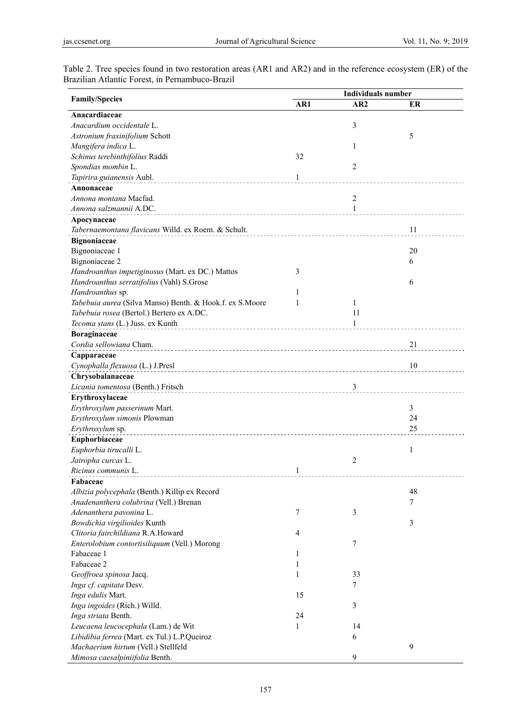| Table 2. Tree species found in two restoration areas (AR1 and AR2) and in the reference ecosystem (ER) of the |  |  |  |  |  |
|---------------------------------------------------------------------------------------------------------------|--|--|--|--|--|
| Brazilian Atlantic Forest, in Pernambuco-Brazil                                                               |  |  |  |  |  |

|                                                          | <b>Individuals number</b> |     |    |  |
|----------------------------------------------------------|---------------------------|-----|----|--|
| <b>Family/Species</b>                                    | AR1                       | AR2 | ER |  |
| Anacardiaceae                                            |                           |     |    |  |
| Anacardium occidentale L.                                |                           | 3   |    |  |
| Astronium fraxinifolium Schott                           |                           |     | 5  |  |
| Mangifera indica L.                                      |                           | 1   |    |  |
| Schinus terebinthifolius Raddi                           | 32                        |     |    |  |
| Spondias mombin L.                                       |                           | 2   |    |  |
| Tapirira guianensis Aubl.                                | $\mathbf{1}$              |     |    |  |
| Annonaceae                                               |                           |     |    |  |
| Annona montana Macfad.                                   |                           | 2   |    |  |
| Annona salzmannii A.DC.                                  |                           | 1   |    |  |
| Apocynaceae                                              |                           |     |    |  |
| Tabernaemontana flavicans Willd. ex Roem. & Schult.      |                           |     | 11 |  |
| <b>Bignoniaceae</b>                                      |                           |     |    |  |
| Bignoniaceae 1                                           |                           |     | 20 |  |
| Bignoniaceae 2                                           |                           |     | 6  |  |
| Handroanthus impetiginosus (Mart. ex DC.) Mattos         | 3                         |     |    |  |
| Handroanthus serratifolius (Vahl) S.Grose                |                           |     | 6  |  |
| Handroanthus sp.                                         | 1                         |     |    |  |
| Tabebuia aurea (Silva Manso) Benth. & Hook.f. ex S.Moore | 1                         | 1   |    |  |
| Tabebuia rosea (Bertol.) Bertero ex A.DC.                |                           | 11  |    |  |
| Tecoma stans (L.) Juss. ex Kunth                         |                           | 1   |    |  |
|                                                          |                           |     |    |  |
| Boraginaceae<br>Cordia sellowiana Cham.                  |                           |     |    |  |
|                                                          |                           |     | 21 |  |
| Capparaceae                                              |                           |     |    |  |
| Cynophalla flexuosa (L.) J.Presl                         |                           |     | 10 |  |
| Chrysobalanaceae                                         |                           |     |    |  |
| Licania tomentosa (Benth.) Fritsch                       |                           | 3   |    |  |
| Erythroxylaceae                                          |                           |     |    |  |
| Erythroxylum passerinum Mart.                            |                           |     | 3  |  |
| Erythroxylum simonis Plowman                             |                           |     | 24 |  |
| Erythroxylum sp.                                         |                           |     | 25 |  |
| Euphorbiaceae                                            |                           |     |    |  |
| Euphorbia tirucalli L.                                   |                           |     | 1  |  |
| Jatropha curcas L.                                       |                           | 2   |    |  |
| <i>Ricinus communis</i> L.                               | 1                         |     |    |  |
| Fabaceae                                                 |                           |     |    |  |
| Albizia polycephala (Benth.) Killip ex Record            |                           |     | 48 |  |
| Anadenanthera colubrina (Vell.) Brenan                   |                           |     | 7  |  |
| Adenanthera pavonina L.                                  | $\tau$                    | 3   |    |  |
| Bowdichia virgilioides Kunth                             |                           |     | 3  |  |
| Clitoria fairchildiana R.A.Howard                        | $\overline{4}$            |     |    |  |
| Enterolobium contortisiliquum (Vell.) Morong             |                           | 7   |    |  |
| Fabaceae 1                                               | 1                         |     |    |  |
| Fabaceae 2                                               | 1                         |     |    |  |
| Geoffroea spinosa Jacq.                                  | 1                         | 33  |    |  |
| Inga cf. capitata Desv.                                  |                           | 7   |    |  |
| Inga edulis Mart.                                        | 15                        |     |    |  |
| Inga ingoides (Rich.) Willd.                             |                           | 3   |    |  |
| Inga striata Benth.                                      | 24                        |     |    |  |
| Leucaena leucocephala (Lam.) de Wit                      | 1                         | 14  |    |  |
| Libidibia ferrea (Mart. ex Tul.) L.P.Queiroz             |                           | 6   |    |  |
| Machaerium hirtum (Vell.) Stellfeld                      |                           |     | 9  |  |
| Mimosa caesalpiniifolia Benth.                           |                           | 9   |    |  |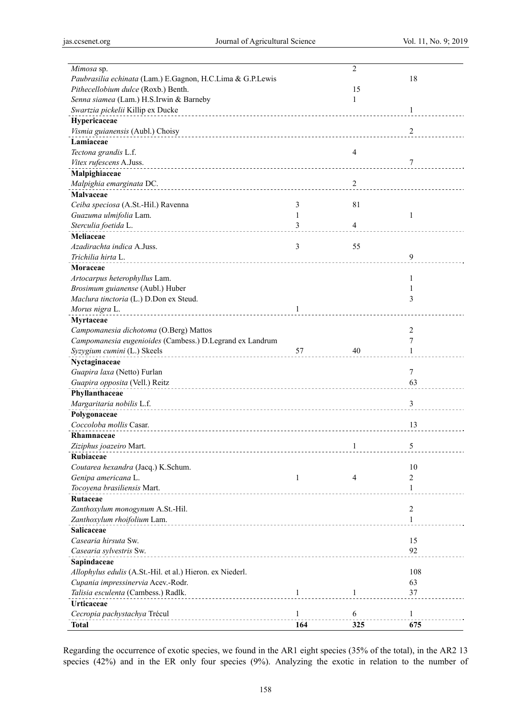| Mimosa sp.                                                 |    | 2              |                |
|------------------------------------------------------------|----|----------------|----------------|
| Paubrasilia echinata (Lam.) E.Gagnon, H.C.Lima & G.P.Lewis |    |                | 18             |
| Pithecellobium dulce (Roxb.) Benth.                        |    | 15             |                |
| Senna siamea (Lam.) H.S.Irwin & Barneby                    |    | 1              |                |
| Swartzia pickelii Killip ex Ducke                          |    |                | 1              |
| Hypericaceae                                               |    |                |                |
| Vismia guianensis (Aubl.) Choisy                           |    |                | 2              |
| Lamiaceae                                                  |    |                |                |
| Tectona grandis L.f.                                       |    | 4              |                |
| Vitex rufescens A.Juss.                                    |    |                | 7              |
| Malpighiaceae                                              |    |                |                |
| Malpighia emarginata DC.                                   |    | 2              |                |
| Malvaceae                                                  |    |                |                |
| Ceiba speciosa (A.St.-Hil.) Ravenna                        | 3  | 81             |                |
| Guazuma ulmifolia Lam.                                     | 1  |                | $\mathbf{1}$   |
| Sterculia foetida L.                                       | 3  | $\overline{4}$ |                |
| Meliaceae                                                  |    |                |                |
| Azadirachta indica A Juss.                                 | 3  | 55             |                |
| Trichilia hirta L.                                         |    |                | 9              |
|                                                            |    |                |                |
| Moraceae                                                   |    |                |                |
| Artocarpus heterophyllus Lam.                              |    |                | 1              |
| Brosimum guianense (Aubl.) Huber                           |    |                | 1              |
| Maclura tinctoria (L.) D.Don ex Steud.                     |    |                | 3              |
| Morus nigra L.                                             | 1  |                |                |
| Myrtaceae                                                  |    |                |                |
| Campomanesia dichotoma (O.Berg) Mattos                     |    |                | 2              |
| Campomanesia eugenioides (Cambess.) D.Legrand ex Landrum   |    |                | 7              |
| Syzygium cumini (L.) Skeels                                | 57 | 40             | 1              |
| Nyctaginaceae                                              |    |                |                |
| Guapira laxa (Netto) Furlan                                |    |                | $\overline{7}$ |
| Guapira opposita (Vell.) Reitz                             |    |                | 63             |
| Phyllanthaceae                                             |    |                |                |
| Margaritaria nobilis L.f.                                  |    |                | 3              |
| Polygonaceae                                               |    |                |                |
| Coccoloba mollis Casar.                                    |    |                | 13             |
| Rhamnaceae                                                 |    |                |                |
| Ziziphus joazeiro Mart.                                    |    | 1              | 5              |
| Rubiaceae                                                  |    |                |                |
| Coutarea hexandra (Jacq.) K.Schum.                         |    |                | 10             |
| Genipa americana L.                                        | 1  | 4              | 2              |
| Tocoyena brasiliensis Mart.                                |    |                | 1              |
| Rutaceae                                                   |    |                |                |
|                                                            |    |                | $\overline{2}$ |
| Zanthoxylum monogynum A.St.-Hil.                           |    |                |                |
| Zanthoxylum rhoifolium Lam.                                |    |                | 1              |
| Salicaceae                                                 |    |                |                |
|                                                            |    |                |                |
| Casearia hirsuta Sw.                                       |    |                | 15             |
| Casearia sylvestris Sw.                                    |    |                | 92             |
| Sapindaceae                                                |    |                |                |
| Allophylus edulis (A.St.-Hil. et al.) Hieron. ex Niederl.  |    |                | 108            |
| Cupania impressinervia Acev.-Rodr.                         |    |                | 63             |
| Talisia esculenta (Cambess.) Radlk.                        | 1  | 1              | 37             |
| Urticaceae                                                 |    |                |                |
| Cecropia pachystachya Trécul                               | 1  | 6              | $\mathbf{1}$   |

Regarding the occurrence of exotic species, we found in the AR1 eight species (35% of the total), in the AR2 13 species (42%) and in the ER only four species (9%). Analyzing the exotic in relation to the number of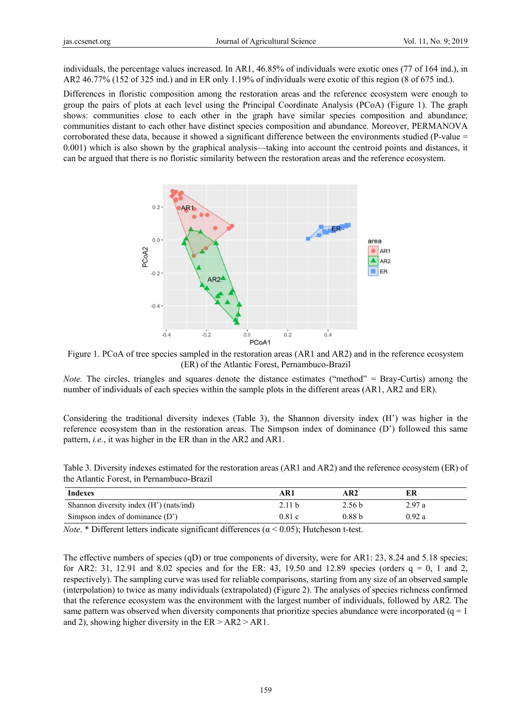individuals, the percentage values increased. In AR1, 46.85% of individuals were exotic ones (77 of 164 ind.), in AR2 46.77% (152 of 325 ind.) and in ER only 1.19% of individuals were exotic of this region (8 of 675 ind.).

Differences in floristic composition among the restoration areas and the reference ecosystem were enough to group the pairs of plots at each level using the Principal Coordinate Analysis (PCoA) (Figure 1). The graph shows: communities close to each other in the graph have similar species composition and abundance; communities distant to each other have distinct species composition and abundance. Moreover, PERMANOVA corroborated these data, because it showed a significant difference between the environments studied (P-value  $=$ 0.001) which is also shown by the graphical analysis—taking into account the centroid points and distances, it can be argued that there is no floristic similarity between the restoration areas and the reference ecosystem.



Figure 1. PCoA of tree species sampled in the restoration areas (AR1 and AR2) and in the reference ecosystem (ER) of the Atlantic Forest, Pernambuco-Brazil

*Note.* The circles, triangles and squares denote the distance estimates ("method" = Bray-Curtis) among the number of individuals of each species within the sample plots in the different areas (AR1, AR2 and ER).

Considering the traditional diversity indexes (Table 3), the Shannon diversity index (H') was higher in the reference ecosystem than in the restoration areas. The Simpson index of dominance (D') followed this same pattern, *i.e.*, it was higher in the ER than in the AR2 and AR1.

| Indexes                                 | A R 1  | AR2               |        |  |
|-----------------------------------------|--------|-------------------|--------|--|
| Shannon diversity index (H') (nats/ind) | 2.11 h | 2.56 <sub>b</sub> | 2.97 a |  |
| Simpson index of dominance $(D')$       | 0.81c  | 0.88 <sub>b</sub> | 0.92a  |  |

Table 3. Diversity indexes estimated for the restoration areas (AR1 and AR2) and the reference ecosystem (ER) of the Atlantic Forest, in Pernambuco-Brazil

*Note.* \* Different letters indicate significant differences ( $\alpha$  < 0.05); Hutcheson t-test.

The effective numbers of species  $(qD)$  or true components of diversity, were for AR1: 23, 8.24 and 5.18 species; for AR2: 31, 12.91 and 8.02 species and for the ER: 43, 19.50 and 12.89 species (orders  $q = 0$ , 1 and 2, respectively). The sampling curve was used for reliable comparisons, starting from any size of an observed sample (interpolation) to twice as many individuals (extrapolated) (Figure 2). The analyses of species richness confirmed that the reference ecosystem was the environment with the largest number of individuals, followed by AR2. The same pattern was observed when diversity components that prioritize species abundance were incorporated  $(q = 1$ and 2), showing higher diversity in the  $ER > AR2 > AR1$ .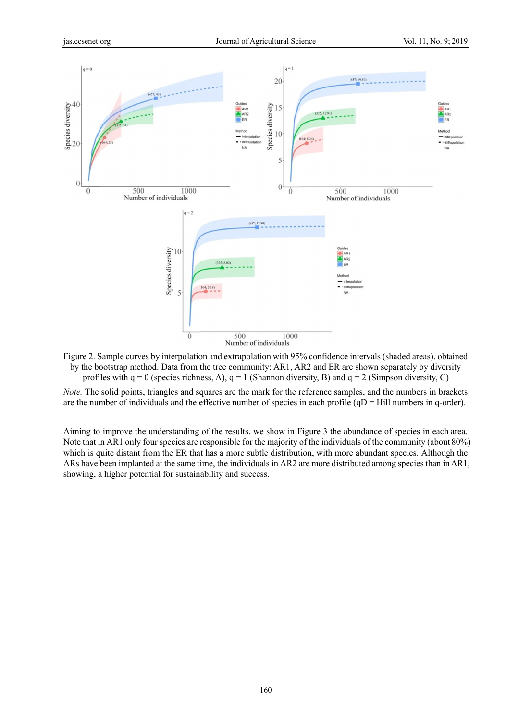

Figure 2. Sample curves by interpolation and extrapolation with 95% confidence intervals (shaded areas), obtained by the bootstrap method. Data from the tree community: AR1, AR2 and ER are shown separately by diversity profiles with  $q = 0$  (species richness, A),  $q = 1$  (Shannon diversity, B) and  $q = 2$  (Simpson diversity, C)

Note. The solid points, triangles and squares are the mark for the reference samples, and the numbers in brackets are the number of individuals and the effective number of species in each profile  $(qD = Hill$  numbers in q-order).

Aiming to improve the understanding of the results, we show in Figure 3 the abundance of species in each area. Note that in AR1 only four species are responsible for the majority of the individuals of the community (about 80%) which is quite distant from the ER that has a more subtle distribution, with more abundant species. Although the ARs have been implanted at the same time, the individuals in AR2 are more distributed among species than in AR1, showing, a higher potential for sustainability and success.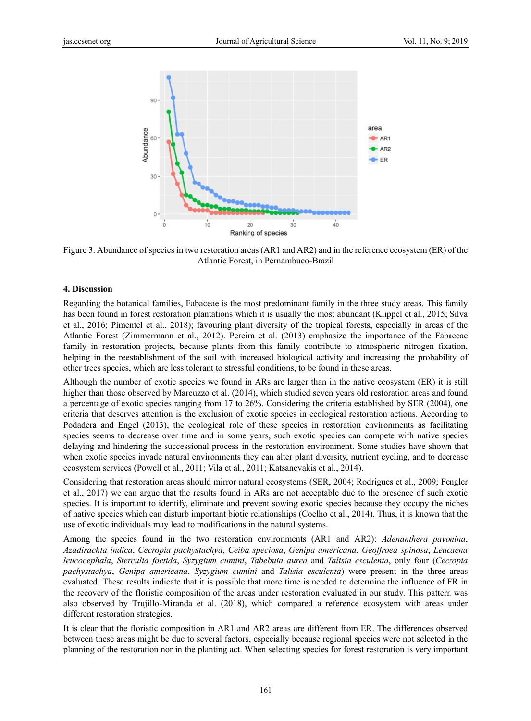

Figure 3. Abundance of species in two restoration areas (AR1 and AR2) and in the reference ecosystem (ER) of the Atlantic Forest, in Pernambuco-Brazil

#### 4. Discussion

Regarding the botanical families, Fabaceae is the most predominant family in the three study areas. This family has been found in forest restoration plantations which it is usually the most abundant (Klippel et al., 2015; Silva et al., 2016; Pimentel et al., 2018); favouring plant diversity of the tropical forests, especially in areas of the Atlantic Forest (Zimmermann et al., 2012). Pereira et al. (2013) emphasize the importance of the Fabaceae family in restoration projects, because plants from this family contribute to atmospheric nitrogen fixation, helping in the reestablishment of the soil with increased biological activity and increasing the probability of other trees species, which are less tolerant to stressful conditions, to be found in these areas.

Although the number of exotic species we found in ARs are larger than in the native ecosystem (ER) it is still higher than those observed by Marcuzzo et al. (2014), which studied seven years old restoration areas and found a percentage of exotic species ranging from 17 to 26%. Considering the criteria established by SER (2004), one criteria that deserves attention is the exclusion of exotic species in ecological restoration actions. According to Podadera and Engel (2013), the ecological role of these species in restoration environments as facilitating species seems to decrease over time and in some years, such exotic species can compete with native species delaying and hindering the successional process in the restoration environment. Some studies have shown that when exotic species invade natural environments they can alter plant diversity, nutrient cycling, and to decrease ecosystem services (Powell et al., 2011; Vila et al., 2011; Katsanevakis et al., 2014).

Considering that restoration areas should mirror natural ecosystems (SER, 2004; Rodrigues et al., 2009; Fengler et al., 2017) we can argue that the results found in ARs are not acceptable due to the presence of such exotic species. It is important to identify, eliminate and prevent sowing exotic species because they occupy the niches of native species which can disturb important biotic relationships (Coelho et al., 2014). Thus, it is known that the use of exotic individuals may lead to modifications in the natural systems.

Among the species found in the two restoration environments (AR1 and AR2): Adenanthera pavonina, Azadirachta indica, Cecropia pachystachya, Ceiba speciosa, Genipa americana, Geoffroea spinosa, Leucaena leucocephala, Sterculia foetida, Syzygium cumini, Tabebuia aurea and Talisia esculenta, only four (Cecropia pachystachya, Genipa americana, Syzygium cumini and Talisia esculenta) were present in the three areas evaluated. These results indicate that it is possible that more time is needed to determine the influence of ER in the recovery of the floristic composition of the areas under restoration evaluated in our study. This pattern was also observed by Trujillo-Miranda et al. (2018), which compared a reference ecosystem with areas under different restoration strategies.

It is clear that the floristic composition in AR1 and AR2 areas are different from ER. The differences observed between these areas might be due to several factors, especially because regional species were not selected in the planning of the restoration nor in the planting act. When selecting species for forest restoration is very important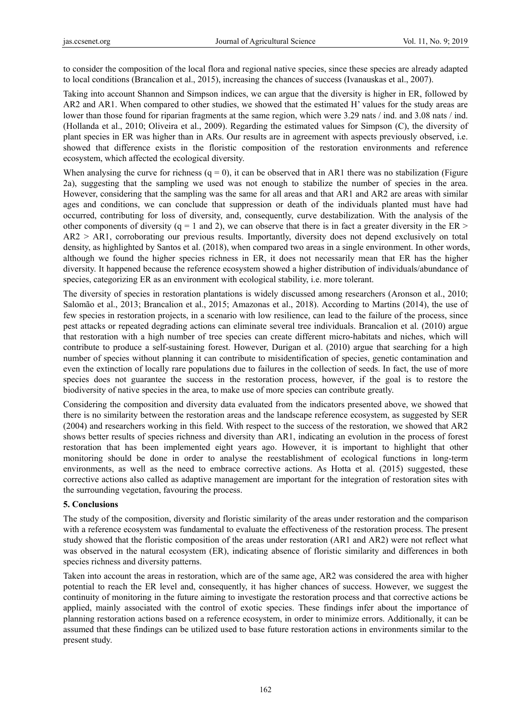to consider the composition of the local flora and regional native species, since these species are already adapted to local conditions (Brancalion et al., 2015), increasing the chances of success (Ivanauskas et al., 2007).

Taking into account Shannon and Simpson indices, we can argue that the diversity is higher in ER, followed by AR2 and AR1. When compared to other studies, we showed that the estimated H' values for the study areas are lower than those found for riparian fragments at the same region, which were 3.29 nats / ind. and 3.08 nats / ind. (Hollanda et al., 2010; Oliveira et al., 2009). Regarding the estimated values for Simpson (C), the diversity of plant species in ER was higher than in ARs. Our results are in agreement with aspects previously observed, i.e. showed that difference exists in the floristic composition of the restoration environments and reference ecosystem, which affected the ecological diversity.

When analysing the curve for richness  $(q = 0)$ , it can be observed that in AR1 there was no stabilization (Figure 2a), suggesting that the sampling we used was not enough to stabilize the number of species in the area. However, considering that the sampling was the same for all areas and that AR1 and AR2 are areas with similar ages and conditions, we can conclude that suppression or death of the individuals planted must have had occurred, contributing for loss of diversity, and, consequently, curve destabilization. With the analysis of the other components of diversity (q = 1 and 2), we can observe that there is in fact a greater diversity in the ER  $>$ AR2 > AR1, corroborating our previous results. Importantly, diversity does not depend exclusively on total density, as highlighted by Santos et al. (2018), when compared two areas in a single environment. In other words, although we found the higher species richness in ER, it does not necessarily mean that ER has the higher diversity. It happened because the reference ecosystem showed a higher distribution of individuals/abundance of species, categorizing ER as an environment with ecological stability, i.e. more tolerant.

The diversity of species in restoration plantations is widely discussed among researchers (Aronson et al., 2010; Salomão et al., 2013; Brancalion et al., 2015; Amazonas et al., 2018). According to Martins (2014), the use of few species in restoration projects, in a scenario with low resilience, can lead to the failure of the process, since pest attacks or repeated degrading actions can eliminate several tree individuals. Brancalion et al. (2010) argue that restoration with a high number of tree species can create different micro-habitats and niches, which will contribute to produce a self-sustaining forest. However, Durigan et al. (2010) argue that searching for a high number of species without planning it can contribute to misidentification of species, genetic contamination and even the extinction of locally rare populations due to failures in the collection of seeds. In fact, the use of more species does not guarantee the success in the restoration process, however, if the goal is to restore the biodiversity of native species in the area, to make use of more species can contribute greatly.

Considering the composition and diversity data evaluated from the indicators presented above, we showed that there is no similarity between the restoration areas and the landscape reference ecosystem, as suggested by SER (2004) and researchers working in this field. With respect to the success of the restoration, we showed that AR2 shows better results of species richness and diversity than AR1, indicating an evolution in the process of forest restoration that has been implemented eight years ago. However, it is important to highlight that other monitoring should be done in order to analyse the reestablishment of ecological functions in long-term environments, as well as the need to embrace corrective actions. As Hotta et al. (2015) suggested, these corrective actions also called as adaptive management are important for the integration of restoration sites with the surrounding vegetation, favouring the process.

## **5. Conclusions**

The study of the composition, diversity and floristic similarity of the areas under restoration and the comparison with a reference ecosystem was fundamental to evaluate the effectiveness of the restoration process. The present study showed that the floristic composition of the areas under restoration (AR1 and AR2) were not reflect what was observed in the natural ecosystem (ER), indicating absence of floristic similarity and differences in both species richness and diversity patterns.

Taken into account the areas in restoration, which are of the same age, AR2 was considered the area with higher potential to reach the ER level and, consequently, it has higher chances of success. However, we suggest the continuity of monitoring in the future aiming to investigate the restoration process and that corrective actions be applied, mainly associated with the control of exotic species. These findings infer about the importance of planning restoration actions based on a reference ecosystem, in order to minimize errors. Additionally, it can be assumed that these findings can be utilized used to base future restoration actions in environments similar to the present study.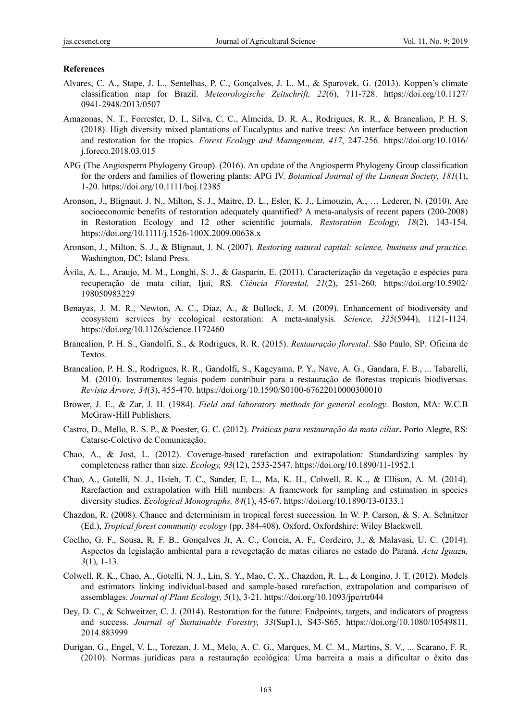#### **References**

- Alvares, C. A., Stape, J. L., Sentelhas, P. C., Gonçalves, J. L. M., & Sparovek, G. (2013). Koppen's climate classification map for Brazil. *Meteorologische Zeitschrift, 22*(6), 711-728. https://doi.org/10.1127/ 0941-2948/2013/0507
- Amazonas, N. T., Forrester, D. I., Silva, C. C., Almeida, D. R. A., Rodrigues, R. R., & Brancalion, P. H. S. (2018). High diversity mixed plantations of Eucalyptus and native trees: An interface between production and restoration for the tropics. *Forest Ecology and Management, 417*, 247-256. https://doi.org/10.1016/ j.foreco.2018.03.015
- APG (The Angiosperm Phylogeny Group). (2016). An update of the Angiosperm Phylogeny Group classification for the orders and families of flowering plants: APG IV. *Botanical Journal of the Linnean Society, 181*(1), 1-20. https://doi.org/10.1111/boj.12385
- Aronson, J., Blignaut, J. N., Milton, S. J., Maitre, D. L., Esler, K. J., Limouzin, A., … Lederer, N. (2010). Are socioeconomic benefits of restoration adequately quantified? A meta-analysis of recent papers (200-2008) in Restoration Ecology and 12 other scientific journals. *Restoration Ecology, 18*(2), 143-154. https://doi.org/10.1111/j.1526-100X.2009.00638.x
- Aronson, J., Milton, S. J., & Blignaut, J. N. (2007). *Restoring natural capital: science, business and practice*. Washington, DC: Island Press.
- Ávila, A. L., Araujo, M. M., Longhi, S. J., & Gasparin, E. (2011). Caracterização da vegetação e espécies para recuperação de mata ciliar, Ijuí, RS. *Ciência Florestal, 21*(2), 251-260. https://doi.org/10.5902/ 198050983229
- Benayas, J. M. R., Newton, A. C., Diaz, A., & Bullock, J. M. (2009). Enhancement of biodiversity and ecosystem services by ecological restoration: A meta-analysis. *Science, 325*(5944), 1121-1124. https://doi.org/10.1126/science.1172460
- Brancalion, P. H. S., Gandolfi, S., & Rodrigues, R. R. (2015). *Restauração florestal*. São Paulo, SP: Oficina de Textos.
- Brancalion, P. H. S., Rodrigues, R. R., Gandolfi, S., Kageyama, P. Y., Nave, A. G., Gandara, F. B., ... Tabarelli, M. (2010). Instrumentos legais podem contribuir para a restauração de florestas tropicais biodiversas. *Revista Árvore, 34*(3), 455-470. https://doi.org/10.1590/S0100-67622010000300010
- Brower, J. E., & Zar, J. H. (1984). *Field and laboratory methods for general ecology.* Boston, MA: W.C.B McGraw-Hill Publishers.
- Castro, D., Mello, R. S. P., & Poester, G. C. (2012). *Práticas para restauração da mata ciliar***.** Porto Alegre, RS: Catarse-Coletivo de Comunicação.
- Chao, A., & Jost, L. (2012). Coverage-based rarefaction and extrapolation: Standardizing samples by completeness rather than size. *Ecology, 93*(12), 2533-2547. https://doi.org/10.1890/11-1952.1
- Chao, A., Gotelli, N. J., Hsieh, T. C., Sander, E. L., Ma, K. H., Colwell, R. K.., & Ellison, A. M. (2014). Rarefaction and extrapolation with Hill numbers: A framework for sampling and estimation in species diversity studies. *Ecological Monographs, 84*(1), 45-67. https://doi.org/10.1890/13-0133.1
- Chazdon, R. (2008). Chance and determinism in tropical forest succession. In W. P. Carson, & S. A. Schnitzer (Ed.), *Tropical forest community ecology* (pp. 384-408). Oxford, Oxfordshire: Wiley Blackwell.
- Coelho, G. F., Sousa, R. F. B., Gonçalves Jr, A. C., Correia, A. F., Cordeiro, J., & Malavasi, U. C. (2014). Aspectos da legislação ambiental para a revegetação de matas ciliares no estado do Paraná. *Acta Iguazu, 3*(1), 1-13.
- Colwell, R. K., Chao, A., Gotelli, N. J., Lin, S. Y., Mao, C. X., Chazdon, R. L., & Longino, J. T. (2012). Models and estimators linking individual-based and sample-based rarefaction, extrapolation and comparison of assemblages. *Journal of Plant Ecology, 5*(1), 3-21. https://doi.org/10.1093/jpe/rtr044
- Dey, D. C., & Schweitzer, C. J. (2014). Restoration for the future: Endpoints, targets, and indicators of progress and success. *Journal of Sustainable Forestry, 33*(Sup1.), S43-S65. https://doi.org/10.1080/10549811. 2014.883999
- Durigan, G., Engel, V. L., Torezan, J. M., Melo, A. C. G., Marques, M. C. M., Martins, S. V., ... Scarano, F. R. (2010). Normas jurídicas para a restauração ecológica: Uma barreira a mais a dificultar o êxito das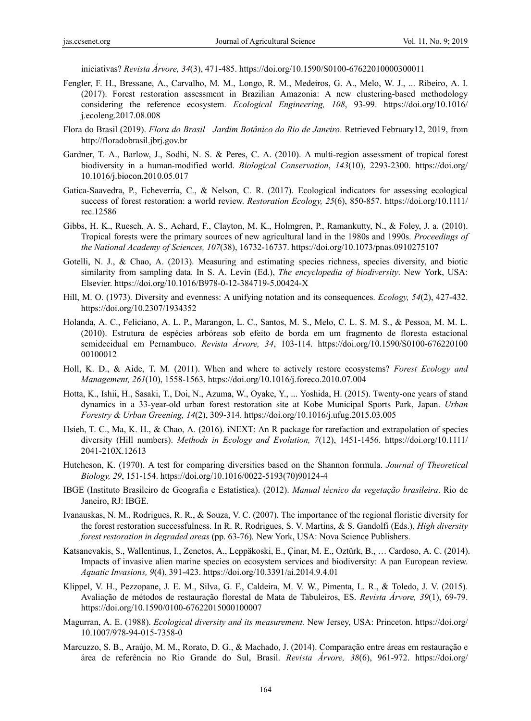iniciativas? *Revista Árvore, 34*(3), 471-485. https://doi.org/10.1590/S0100-67622010000300011

- Fengler, F. H., Bressane, A., Carvalho, M. M., Longo, R. M., Medeiros, G. A., Melo, W. J., ... Ribeiro, A. I. (2017). Forest restoration assessment in Brazilian Amazonia: A new clustering-based methodology considering the reference ecosystem. *Ecological Engineering, 108*, 93-99. https://doi.org/10.1016/ j.ecoleng.2017.08.008
- Flora do Brasil (2019). *Flora do Brasil—Jardim Botânico do Rio de Janeiro*. Retrieved February12, 2019, from http://floradobrasil.jbrj.gov.br
- Gardner, T. A., Barlow, J., Sodhi, N. S. & Peres, C. A. (2010). A multi-region assessment of tropical forest biodiversity in a human-modified world. *Biological Conservation*, *143*(10), 2293-2300. https://doi.org/ 10.1016/j.biocon.2010.05.017
- Gatica-Saavedra, P., Echeverría, C., & Nelson, C. R. (2017). Ecological indicators for assessing ecological success of forest restoration: a world review. *Restoration Ecology, 25*(6), 850-857. https://doi.org/10.1111/ rec.12586
- Gibbs, H. K., Ruesch, A. S., Achard, F., Clayton, M. K., Holmgren, P., Ramankutty, N., & Foley, J. a. (2010). Tropical forests were the primary sources of new agricultural land in the 1980s and 1990s. *Proceedings of the National Academy of Sciences, 107*(38), 16732-16737. https://doi.org/10.1073/pnas.0910275107
- Gotelli, N. J., & Chao, A. (2013). Measuring and estimating species richness, species diversity, and biotic similarity from sampling data. In S. A. Levin (Ed.), *The encyclopedia of biodiversity*. New York, USA: Elsevier. https://doi.org/10.1016/B978-0-12-384719-5.00424-X
- Hill, M. O. (1973). Diversity and evenness: A unifying notation and its consequences. *Ecology, 54*(2), 427-432. https://doi.org/10.2307/1934352
- Holanda, A. C., Feliciano, A. L. P., Marangon, L. C., Santos, M. S., Melo, C. L. S. M. S., & Pessoa, M. M. L. (2010). Estrutura de espécies arbóreas sob efeito de borda em um fragmento de floresta estacional semidecidual em Pernambuco. *Revista Árvore, 34*, 103-114. https://doi.org/10.1590/S0100-676220100 00100012
- Holl, K. D., & Aide, T. M. (2011). When and where to actively restore ecosystems? *Forest Ecology and Management, 261*(10), 1558-1563. https://doi.org/10.1016/j.foreco.2010.07.004
- Hotta, K., Ishii, H., Sasaki, T., Doi, N., Azuma, W., Oyake, Y., ... Yoshida, H. (2015). Twenty-one years of stand dynamics in a 33-year-old urban forest restoration site at Kobe Municipal Sports Park, Japan. *Urban Forestry & Urban Greening, 14*(2), 309-314. https://doi.org/10.1016/j.ufug.2015.03.005
- Hsieh, T. C., Ma, K. H., & Chao, A. (2016). iNEXT: An R package for rarefaction and extrapolation of species diversity (Hill numbers). *Methods in Ecology and Evolution, 7*(12), 1451-1456. https://doi.org/10.1111/ 2041-210X.12613
- Hutcheson, K. (1970). A test for comparing diversities based on the Shannon formula. *Journal of Theoretical Biology, 29*, 151-154. https://doi.org/10.1016/0022-5193(70)90124-4
- IBGE (Instituto Brasileiro de Geografia e Estatística). (2012). *Manual técnico da vegetação brasileira*. Rio de Janeiro, RJ: IBGE.
- Ivanauskas, N. M., Rodrigues, R. R., & Souza, V. C. (2007). The importance of the regional floristic diversity for the forest restoration successfulness. In R. R. Rodrigues, S. V. Martins, & S. Gandolfi (Eds.), *High diversity forest restoration in degraded areas* (pp. 63-76)*.* New York, USA: Nova Science Publishers.
- Katsanevakis, S., Wallentinus, I., Zenetos, A., Leppäkoski, E., Çinar, M. E., Oztürk, B., … Cardoso, A. C. (2014). Impacts of invasive alien marine species on ecosystem services and biodiversity: A pan European review. *Aquatic Invasions, 9*(4), 391-423. https://doi.org/10.3391/ai.2014.9.4.01
- Klippel, V. H., Pezzopane, J. E. M., Silva, G. F., Caldeira, M. V. W., Pimenta, L. R., & Toledo, J. V. (2015). Avaliação de métodos de restauração florestal de Mata de Tabuleiros, ES. *Revista Árvore, 39*(1), 69-79. https://doi.org/10.1590/0100-67622015000100007
- Magurran, A. E. (1988). *Ecological diversity and its measurement.* New Jersey, USA: Princeton. https://doi.org/ 10.1007/978-94-015-7358-0
- Marcuzzo, S. B., Araújo, M. M., Rorato, D. G., & Machado, J. (2014). Comparação entre áreas em restauração e área de referência no Rio Grande do Sul, Brasil. *Revista Árvore, 38*(6), 961-972. https://doi.org/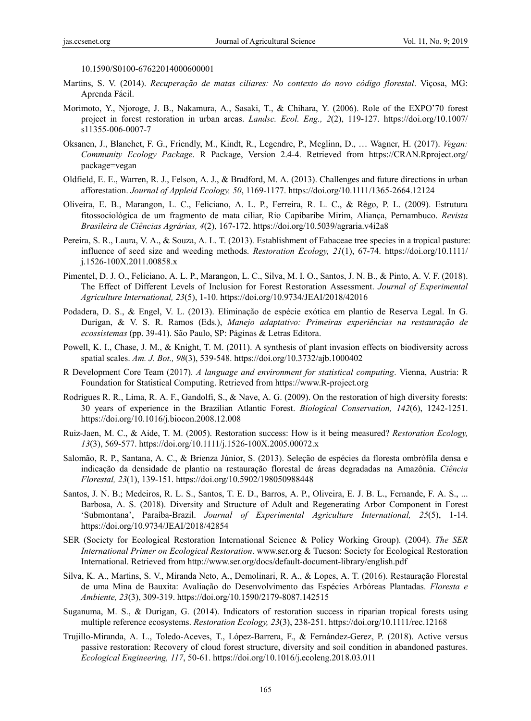10.1590/S0100-67622014000600001

- Martins, S. V. (2014). *Recuperação de matas ciliares: No contexto do novo código florestal*. Viçosa, MG: Aprenda Fácil.
- Morimoto, Y., Njoroge, J. B., Nakamura, A., Sasaki, T., & Chihara, Y. (2006). Role of the EXPO'70 forest project in forest restoration in urban areas. *Landsc. Ecol. Eng., 2*(2), 119-127. https://doi.org/10.1007/ s11355-006-0007-7
- Oksanen, J., Blanchet, F. G., Friendly, M., Kindt, R., Legendre, P., Mcglinn, D., … Wagner, H. (2017). *Vegan: Community Ecology Package*. R Package, Version 2.4-4. Retrieved from https://CRAN.Rproject.org/ package=vegan
- Oldfield, E. E., Warren, R. J., Felson, A. J., & Bradford, M. A. (2013). Challenges and future directions in urban afforestation. *Journal of Appleid Ecology, 50*, 1169-1177. https://doi.org/10.1111/1365-2664.12124
- Oliveira, E. B., Marangon, L. C., Feliciano, A. L. P., Ferreira, R. L. C., & Rêgo, P. L. (2009). Estrutura fitossociológica de um fragmento de mata ciliar, Rio Capibaribe Mirim, Aliança, Pernambuco. *Revista Brasileira de Ciências Agrárias, 4*(2), 167-172. https://doi.org/10.5039/agraria.v4i2a8
- Pereira, S. R., Laura, V. A., & Souza, A. L. T. (2013). Establishment of Fabaceae tree species in a tropical pasture: influence of seed size and weeding methods. *Restoration Ecology, 21*(1), 67-74. https://doi.org/10.1111/ j.1526-100X.2011.00858.x
- Pimentel, D. J. O., Feliciano, A. L. P., Marangon, L. C., Silva, M. I. O., Santos, J. N. B., & Pinto, A. V. F. (2018). The Effect of Different Levels of Inclusion for Forest Restoration Assessment. *Journal of Experimental Agriculture International, 23*(5), 1-10. https://doi.org/10.9734/JEAI/2018/42016
- Podadera, D. S., & Engel, V. L. (2013). Eliminação de espécie exótica em plantio de Reserva Legal. In G. Durigan, & V. S. R. Ramos (Eds.), *Manejo adaptativo: Primeiras experiências na restauração de ecossistemas* (pp. 39-41). São Paulo, SP: Páginas & Letras Editora.
- Powell, K. I., Chase, J. M., & Knight, T. M. (2011). A synthesis of plant invasion effects on biodiversity across spatial scales. *Am. J. Bot., 98*(3), 539-548. https://doi.org/10.3732/ajb.1000402
- R Development Core Team (2017). *A language and environment for statistical computing*. Vienna, Austria: R Foundation for Statistical Computing. Retrieved from https://www.R-project.org
- Rodrigues R. R., Lima, R. A. F., Gandolfi, S., & Nave, A. G. (2009). On the restoration of high diversity forests: 30 years of experience in the Brazilian Atlantic Forest. *Biological Conservation, 142*(6), 1242-1251. https://doi.org/10.1016/j.biocon.2008.12.008
- Ruiz-Jaen, M. C., & Aide, T. M. (2005). Restoration success: How is it being measured? *Restoration Ecology, 13*(3), 569-577. https://doi.org/10.1111/j.1526-100X.2005.00072.x
- Salomão, R. P., Santana, A. C., & Brienza Júnior, S. (2013). Seleção de espécies da floresta ombrófila densa e indicação da densidade de plantio na restauração florestal de áreas degradadas na Amazônia. *Ciência Florestal, 23*(1), 139-151. https://doi.org/10.5902/198050988448
- Santos, J. N. B.; Medeiros, R. L. S., Santos, T. E. D., Barros, A. P., Oliveira, E. J. B. L., Fernande, F. A. S., ... Barbosa, A. S. (2018). Diversity and Structure of Adult and Regenerating Arbor Component in Forest 'Submontana', Paraíba-Brazil. *Journal of Experimental Agriculture International, 25*(5), 1-14. https://doi.org/10.9734/JEAI/2018/42854
- SER (Society for Ecological Restoration International Science & Policy Working Group). (2004). *The SER International Primer on Ecological Restoration*. www.ser.org & Tucson: Society for Ecological Restoration International. Retrieved from http://www.ser.org/docs/default-document-library/english.pdf
- Silva, K. A., Martins, S. V., Miranda Neto, A., Demolinari, R. A., & Lopes, A. T. (2016). Restauração Florestal de uma Mina de Bauxita: Avaliação do Desenvolvimento das Espécies Arbóreas Plantadas. *Floresta e Ambiente, 23*(3), 309-319. https://doi.org/10.1590/2179-8087.142515
- Suganuma, M. S., & Durigan, G. (2014). Indicators of restoration success in riparian tropical forests using multiple reference ecosystems. *Restoration Ecology, 23*(3), 238-251. https://doi.org/10.1111/rec.12168
- Trujillo-Miranda, A. L., Toledo-Aceves, T., López-Barrera, F., & Fernández-Gerez, P. (2018). Active versus passive restoration: Recovery of cloud forest structure, diversity and soil condition in abandoned pastures. *Ecological Engineering, 117*, 50-61. https://doi.org/10.1016/j.ecoleng.2018.03.011